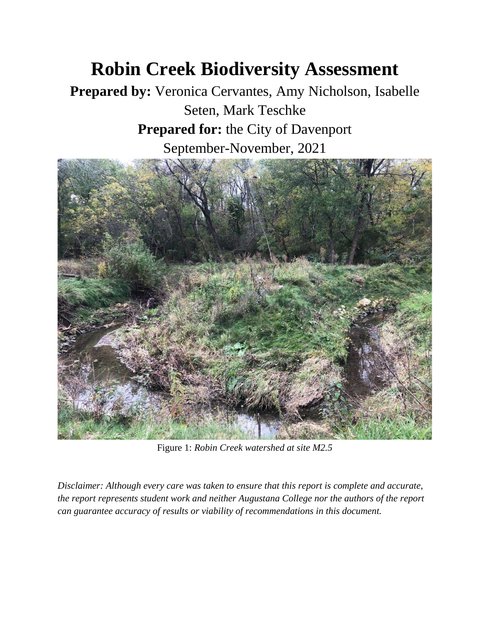# **Robin Creek Biodiversity Assessment**

**Prepared by:** Veronica Cervantes, Amy Nicholson, Isabelle Seten, Mark Teschke **Prepared for:** the City of Davenport September-November, 2021



Figure 1: *Robin Creek watershed at site M2.5* 

*Disclaimer: Although every care was taken to ensure that this report is complete and accurate, the report represents student work and neither Augustana College nor the authors of the report can guarantee accuracy of results or viability of recommendations in this document.*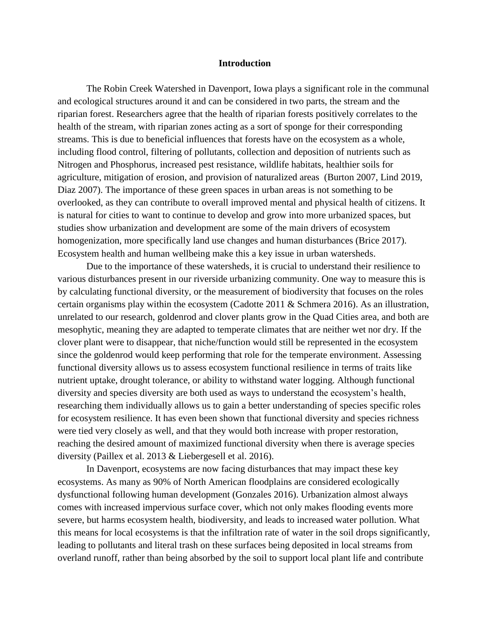#### **Introduction**

The Robin Creek Watershed in Davenport, Iowa plays a significant role in the communal and ecological structures around it and can be considered in two parts, the stream and the riparian forest. Researchers agree that the health of riparian forests positively correlates to the health of the stream, with riparian zones acting as a sort of sponge for their corresponding streams. This is due to beneficial influences that forests have on the ecosystem as a whole, including flood control, filtering of pollutants, collection and deposition of nutrients such as Nitrogen and Phosphorus, increased pest resistance, wildlife habitats, healthier soils for agriculture, mitigation of erosion, and provision of naturalized areas (Burton 2007, Lind 2019, Diaz 2007). The importance of these green spaces in urban areas is not something to be overlooked, as they can contribute to overall improved mental and physical health of citizens. It is natural for cities to want to continue to develop and grow into more urbanized spaces, but studies show urbanization and development are some of the main drivers of ecosystem homogenization, more specifically land use changes and human disturbances (Brice 2017). Ecosystem health and human wellbeing make this a key issue in urban watersheds.

Due to the importance of these watersheds, it is crucial to understand their resilience to various disturbances present in our riverside urbanizing community. One way to measure this is by calculating functional diversity, or the measurement of biodiversity that focuses on the roles certain organisms play within the ecosystem (Cadotte 2011 & Schmera 2016). As an illustration, unrelated to our research, goldenrod and clover plants grow in the Quad Cities area, and both are mesophytic, meaning they are adapted to temperate climates that are neither wet nor dry. If the clover plant were to disappear, that niche/function would still be represented in the ecosystem since the goldenrod would keep performing that role for the temperate environment. Assessing functional diversity allows us to assess ecosystem functional resilience in terms of traits like nutrient uptake, drought tolerance, or ability to withstand water logging. Although functional diversity and species diversity are both used as ways to understand the ecosystem's health, researching them individually allows us to gain a better understanding of species specific roles for ecosystem resilience. It has even been shown that functional diversity and species richness were tied very closely as well, and that they would both increase with proper restoration, reaching the desired amount of maximized functional diversity when there is average species diversity (Paillex et al. 2013 & Liebergesell et al. 2016).

In Davenport, ecosystems are now facing disturbances that may impact these key ecosystems. As many as 90% of North American floodplains are considered ecologically dysfunctional following human development (Gonzales 2016). Urbanization almost always comes with increased impervious surface cover, which not only makes flooding events more severe, but harms ecosystem health, biodiversity, and leads to increased water pollution. What this means for local ecosystems is that the infiltration rate of water in the soil drops significantly, leading to pollutants and literal trash on these surfaces being deposited in local streams from overland runoff, rather than being absorbed by the soil to support local plant life and contribute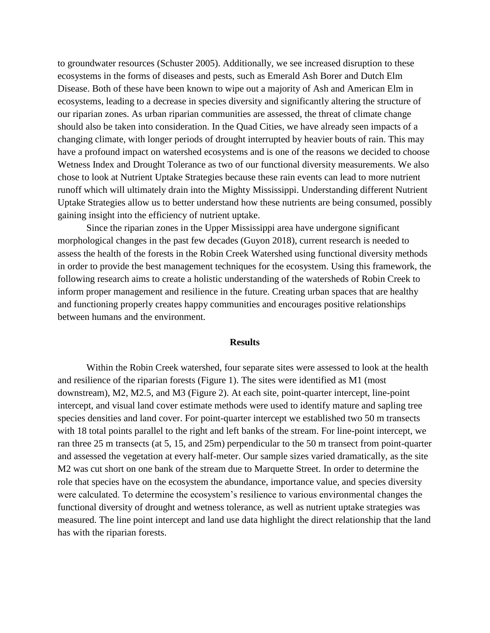to groundwater resources (Schuster 2005). Additionally, we see increased disruption to these ecosystems in the forms of diseases and pests, such as Emerald Ash Borer and Dutch Elm Disease. Both of these have been known to wipe out a majority of Ash and American Elm in ecosystems, leading to a decrease in species diversity and significantly altering the structure of our riparian zones. As urban riparian communities are assessed, the threat of climate change should also be taken into consideration. In the Quad Cities, we have already seen impacts of a changing climate, with longer periods of drought interrupted by heavier bouts of rain. This may have a profound impact on watershed ecosystems and is one of the reasons we decided to choose Wetness Index and Drought Tolerance as two of our functional diversity measurements. We also chose to look at Nutrient Uptake Strategies because these rain events can lead to more nutrient runoff which will ultimately drain into the Mighty Mississippi. Understanding different Nutrient Uptake Strategies allow us to better understand how these nutrients are being consumed, possibly gaining insight into the efficiency of nutrient uptake.

Since the riparian zones in the Upper Mississippi area have undergone significant morphological changes in the past few decades (Guyon 2018), current research is needed to assess the health of the forests in the Robin Creek Watershed using functional diversity methods in order to provide the best management techniques for the ecosystem. Using this framework, the following research aims to create a holistic understanding of the watersheds of Robin Creek to inform proper management and resilience in the future. Creating urban spaces that are healthy and functioning properly creates happy communities and encourages positive relationships between humans and the environment.

### **Results**

Within the Robin Creek watershed, four separate sites were assessed to look at the health and resilience of the riparian forests (Figure 1). The sites were identified as M1 (most downstream), M2, M2.5, and M3 (Figure 2). At each site, point-quarter intercept, line-point intercept, and visual land cover estimate methods were used to identify mature and sapling tree species densities and land cover. For point-quarter intercept we established two 50 m transects with 18 total points parallel to the right and left banks of the stream. For line-point intercept, we ran three 25 m transects (at 5, 15, and 25m) perpendicular to the 50 m transect from point-quarter and assessed the vegetation at every half-meter. Our sample sizes varied dramatically, as the site M2 was cut short on one bank of the stream due to Marquette Street. In order to determine the role that species have on the ecosystem the abundance, importance value, and species diversity were calculated. To determine the ecosystem's resilience to various environmental changes the functional diversity of drought and wetness tolerance, as well as nutrient uptake strategies was measured. The line point intercept and land use data highlight the direct relationship that the land has with the riparian forests.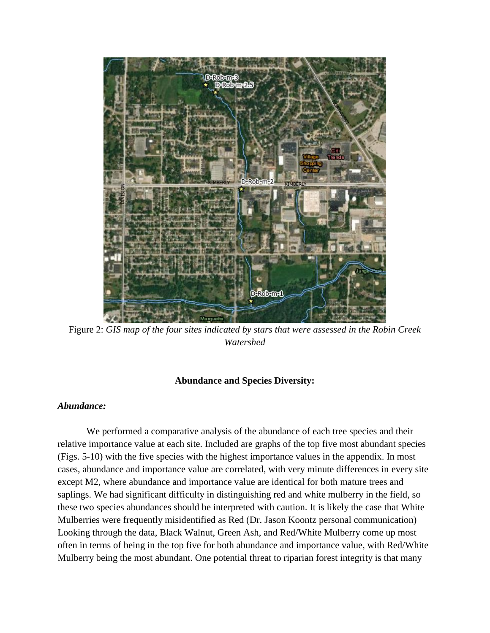

Figure 2: *GIS map of the four sites indicated by stars that were assessed in the Robin Creek Watershed*

## **Abundance and Species Diversity:**

## *Abundance:*

We performed a comparative analysis of the abundance of each tree species and their relative importance value at each site. Included are graphs of the top five most abundant species (Figs. 5-10) with the five species with the highest importance values in the appendix. In most cases, abundance and importance value are correlated, with very minute differences in every site except M2, where abundance and importance value are identical for both mature trees and saplings. We had significant difficulty in distinguishing red and white mulberry in the field, so these two species abundances should be interpreted with caution. It is likely the case that White Mulberries were frequently misidentified as Red (Dr. Jason Koontz personal communication) Looking through the data, Black Walnut, Green Ash, and Red/White Mulberry come up most often in terms of being in the top five for both abundance and importance value, with Red/White Mulberry being the most abundant. One potential threat to riparian forest integrity is that many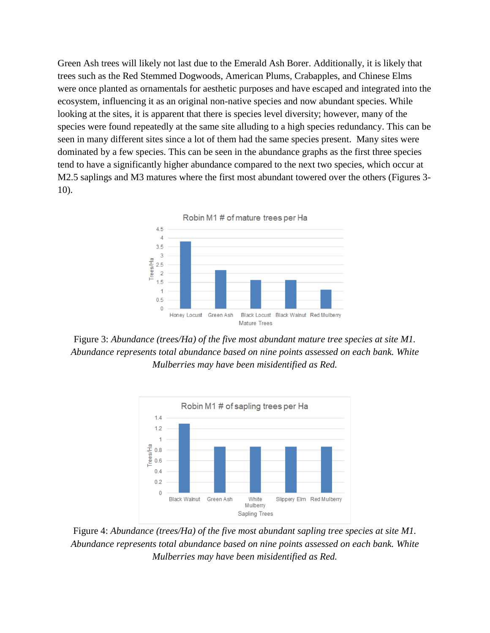Green Ash trees will likely not last due to the Emerald Ash Borer. Additionally, it is likely that trees such as the Red Stemmed Dogwoods, American Plums, Crabapples, and Chinese Elms were once planted as ornamentals for aesthetic purposes and have escaped and integrated into the ecosystem, influencing it as an original non-native species and now abundant species. While looking at the sites, it is apparent that there is species level diversity; however, many of the species were found repeatedly at the same site alluding to a high species redundancy. This can be seen in many different sites since a lot of them had the same species present. Many sites were dominated by a few species. This can be seen in the abundance graphs as the first three species tend to have a significantly higher abundance compared to the next two species, which occur at M2.5 saplings and M3 matures where the first most abundant towered over the others (Figures 3-10).



Figure 3: *Abundance (trees/Ha) of the five most abundant mature tree species at site M1. Abundance represents total abundance based on nine points assessed on each bank. White Mulberries may have been misidentified as Red.* 



Figure 4: *Abundance (trees/Ha) of the five most abundant sapling tree species at site M1. Abundance represents total abundance based on nine points assessed on each bank. White Mulberries may have been misidentified as Red.*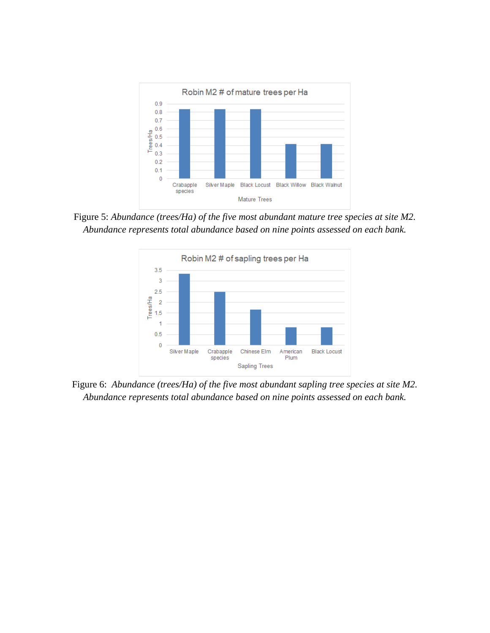

Figure 5: *Abundance (trees/Ha) of the five most abundant mature tree species at site M2. Abundance represents total abundance based on nine points assessed on each bank.*



Figure 6: *Abundance (trees/Ha) of the five most abundant sapling tree species at site M2. Abundance represents total abundance based on nine points assessed on each bank.*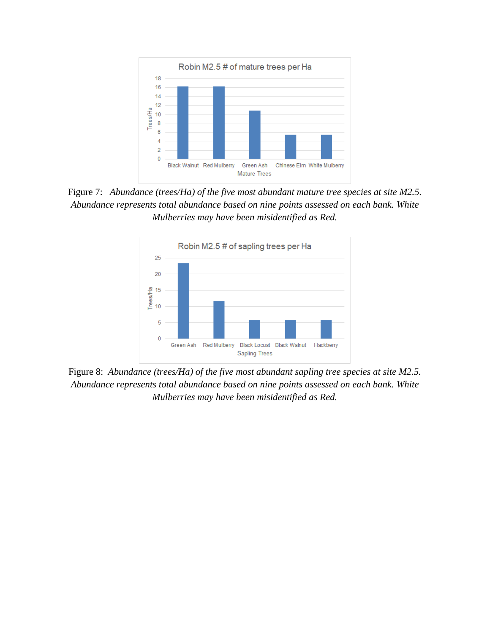

Figure 7: *Abundance (trees/Ha) of the five most abundant mature tree species at site M2.5. Abundance represents total abundance based on nine points assessed on each bank. White Mulberries may have been misidentified as Red.* 



Figure 8: *Abundance (trees/Ha) of the five most abundant sapling tree species at site M2.5. Abundance represents total abundance based on nine points assessed on each bank. White Mulberries may have been misidentified as Red.*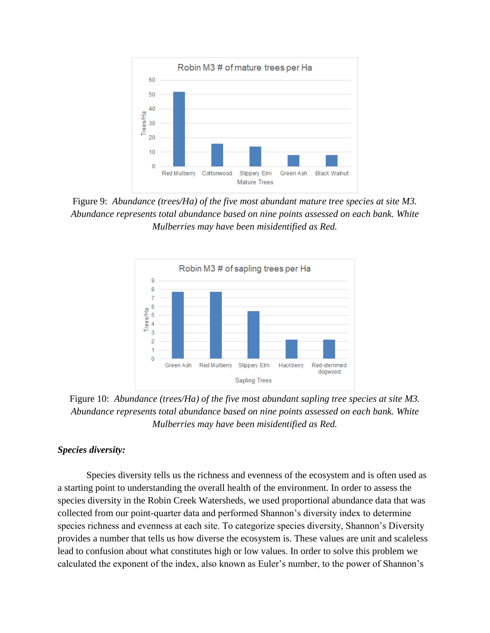

Figure 9: *Abundance (trees/Ha) of the five most abundant mature tree species at site M3. Abundance represents total abundance based on nine points assessed on each bank. White Mulberries may have been misidentified as Red.* 



Figure 10: *Abundance (trees/Ha) of the five most abundant sapling tree species at site M3. Abundance represents total abundance based on nine points assessed on each bank. White Mulberries may have been misidentified as Red.* 

## *Species diversity:*

Species diversity tells us the richness and evenness of the ecosystem and is often used as a starting point to understanding the overall health of the environment. In order to assess the species diversity in the Robin Creek Watersheds, we used proportional abundance data that was collected from our point-quarter data and performed Shannon's diversity index to determine species richness and evenness at each site. To categorize species diversity, Shannon's Diversity provides a number that tells us how diverse the ecosystem is. These values are unit and scaleless lead to confusion about what constitutes high or low values. In order to solve this problem we calculated the exponent of the index, also known as Euler's number, to the power of Shannon's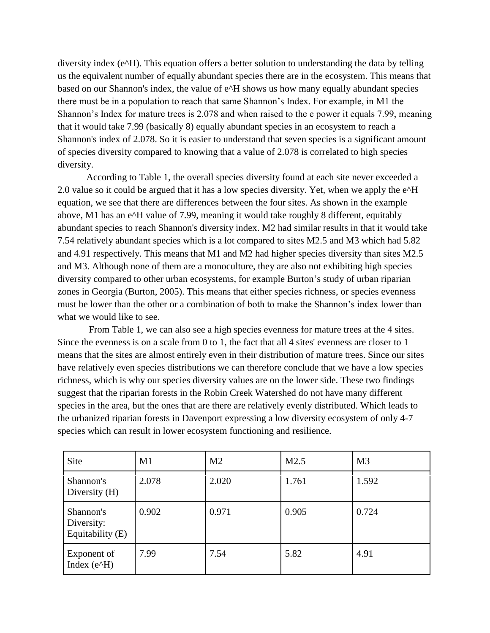diversity index (e^H). This equation offers a better solution to understanding the data by telling us the equivalent number of equally abundant species there are in the ecosystem. This means that based on our Shannon's index, the value of e^H shows us how many equally abundant species there must be in a population to reach that same Shannon's Index. For example, in M1 the Shannon's Index for mature trees is 2.078 and when raised to the e power it equals 7.99, meaning that it would take 7.99 (basically 8) equally abundant species in an ecosystem to reach a Shannon's index of 2.078. So it is easier to understand that seven species is a significant amount of species diversity compared to knowing that a value of 2.078 is correlated to high species diversity.

According to Table 1, the overall species diversity found at each site never exceeded a 2.0 value so it could be argued that it has a low species diversity. Yet, when we apply the e^H equation, we see that there are differences between the four sites. As shown in the example above, M1 has an e^H value of 7.99, meaning it would take roughly 8 different, equitably abundant species to reach Shannon's diversity index. M2 had similar results in that it would take 7.54 relatively abundant species which is a lot compared to sites M2.5 and M3 which had 5.82 and 4.91 respectively. This means that M1 and M2 had higher species diversity than sites M2.5 and M3. Although none of them are a monoculture, they are also not exhibiting high species diversity compared to other urban ecosystems, for example Burton's study of urban riparian zones in Georgia (Burton, 2005). This means that either species richness, or species evenness must be lower than the other or a combination of both to make the Shannon's index lower than what we would like to see.

From Table 1, we can also see a high species evenness for mature trees at the 4 sites. Since the evenness is on a scale from 0 to 1, the fact that all 4 sites' evenness are closer to 1 means that the sites are almost entirely even in their distribution of mature trees. Since our sites have relatively even species distributions we can therefore conclude that we have a low species richness, which is why our species diversity values are on the lower side. These two findings suggest that the riparian forests in the Robin Creek Watershed do not have many different species in the area, but the ones that are there are relatively evenly distributed. Which leads to the urbanized riparian forests in Davenport expressing a low diversity ecosystem of only 4-7 species which can result in lower ecosystem functioning and resilience.

| Site                                        | M1    | M <sub>2</sub> | M2.5  | M <sub>3</sub> |
|---------------------------------------------|-------|----------------|-------|----------------|
| Shannon's<br>Diversity (H)                  | 2.078 | 2.020          | 1.761 | 1.592          |
| Shannon's<br>Diversity:<br>Equitability (E) | 0.902 | 0.971          | 0.905 | 0.724          |
| Exponent of<br>Index $(e^{\Lambda}H)$       | 7.99  | 7.54           | 5.82  | 4.91           |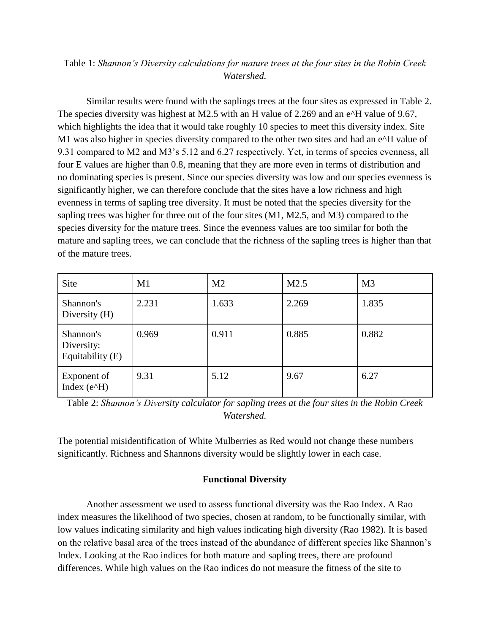# Table 1: *Shannon's Diversity calculations for mature trees at the four sites in the Robin Creek Watershed.*

Similar results were found with the saplings trees at the four sites as expressed in Table 2. The species diversity was highest at M2.5 with an H value of 2.269 and an e^H value of 9.67, which highlights the idea that it would take roughly 10 species to meet this diversity index. Site M1 was also higher in species diversity compared to the other two sites and had an e^H value of 9.31 compared to M2 and M3's 5.12 and 6.27 respectively. Yet, in terms of species evenness, all four E values are higher than 0.8, meaning that they are more even in terms of distribution and no dominating species is present. Since our species diversity was low and our species evenness is significantly higher, we can therefore conclude that the sites have a low richness and high evenness in terms of sapling tree diversity. It must be noted that the species diversity for the sapling trees was higher for three out of the four sites (M1, M2.5, and M3) compared to the species diversity for the mature trees. Since the evenness values are too similar for both the mature and sapling trees, we can conclude that the richness of the sapling trees is higher than that of the mature trees.

| Site                                        | M1    | M <sub>2</sub> | M2.5  | M <sub>3</sub> |
|---------------------------------------------|-------|----------------|-------|----------------|
| Shannon's<br>Diversity $(H)$                | 2.231 | 1.633          | 2.269 | 1.835          |
| Shannon's<br>Diversity:<br>Equitability (E) | 0.969 | 0.911          | 0.885 | 0.882          |
| Exponent of<br>Index $(e^{\Lambda}H)$       | 9.31  | 5.12           | 9.67  | 6.27           |

Table 2: *Shannon's Diversity calculator for sapling trees at the four sites in the Robin Creek Watershed.*

The potential misidentification of White Mulberries as Red would not change these numbers significantly. Richness and Shannons diversity would be slightly lower in each case.

## **Functional Diversity**

Another assessment we used to assess functional diversity was the Rao Index. A Rao index measures the likelihood of two species, chosen at random, to be functionally similar, with low values indicating similarity and high values indicating high diversity (Rao 1982). It is based on the relative basal area of the trees instead of the abundance of different species like Shannon's Index. Looking at the Rao indices for both mature and sapling trees, there are profound differences. While high values on the Rao indices do not measure the fitness of the site to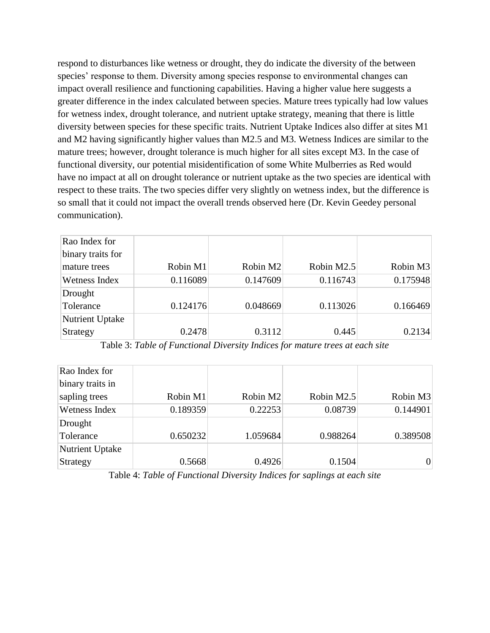respond to disturbances like wetness or drought, they do indicate the diversity of the between species' response to them. Diversity among species response to environmental changes can impact overall resilience and functioning capabilities. Having a higher value here suggests a greater difference in the index calculated between species. Mature trees typically had low values for wetness index, drought tolerance, and nutrient uptake strategy, meaning that there is little diversity between species for these specific traits. Nutrient Uptake Indices also differ at sites M1 and M2 having significantly higher values than M2.5 and M3. Wetness Indices are similar to the mature trees; however, drought tolerance is much higher for all sites except M3. In the case of functional diversity, our potential misidentification of some White Mulberries as Red would have no impact at all on drought tolerance or nutrient uptake as the two species are identical with respect to these traits. The two species differ very slightly on wetness index, but the difference is so small that it could not impact the overall trends observed here (Dr. Kevin Geedey personal communication).

| Rao Index for          |          |          |            |          |
|------------------------|----------|----------|------------|----------|
| binary traits for      |          |          |            |          |
| mature trees           | Robin M1 | Robin M2 | Robin M2.5 | Robin M3 |
| Wetness Index          | 0.116089 | 0.147609 | 0.116743   | 0.175948 |
| Drought                |          |          |            |          |
| Tolerance              | 0.124176 | 0.048669 | 0.113026   | 0.166469 |
| <b>Nutrient Uptake</b> |          |          |            |          |
| Strategy               | 0.2478   | 0.3112   | 0.445      | 0.2134   |

Table 3: *Table of Functional Diversity Indices for mature trees at each site*

| Rao Index for    |          |          |            |          |
|------------------|----------|----------|------------|----------|
| binary traits in |          |          |            |          |
| sapling trees    | Robin M1 | Robin M2 | Robin M2.5 | Robin M3 |
| Wetness Index    | 0.189359 | 0.22253  | 0.08739    | 0.144901 |
| Drought          |          |          |            |          |
| Tolerance        | 0.650232 | 1.059684 | 0.988264   | 0.389508 |
| Nutrient Uptake  |          |          |            |          |
| Strategy         | 0.5668   | 0.4926   | 0.1504     | O        |

Table 4: *Table of Functional Diversity Indices for saplings at each site*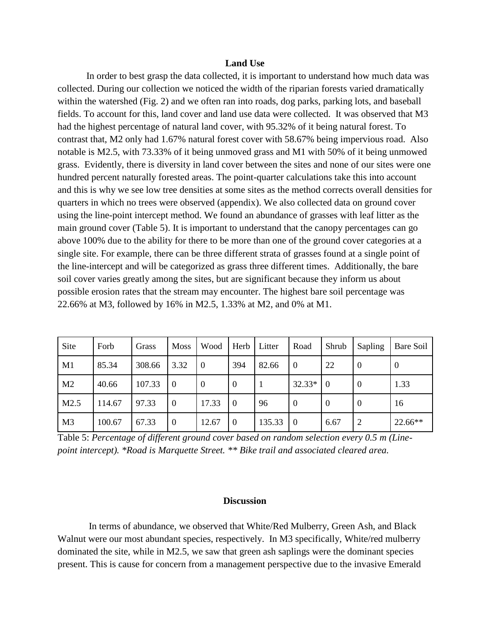### **Land Use**

In order to best grasp the data collected, it is important to understand how much data was collected. During our collection we noticed the width of the riparian forests varied dramatically within the watershed (Fig. 2) and we often ran into roads, dog parks, parking lots, and baseball fields. To account for this, land cover and land use data were collected. It was observed that M3 had the highest percentage of natural land cover, with 95.32% of it being natural forest. To contrast that, M2 only had 1.67% natural forest cover with 58.67% being impervious road. Also notable is M2.5, with 73.33% of it being unmoved grass and M1 with 50% of it being unmowed grass. Evidently, there is diversity in land cover between the sites and none of our sites were one hundred percent naturally forested areas. The point-quarter calculations take this into account and this is why we see low tree densities at some sites as the method corrects overall densities for quarters in which no trees were observed (appendix). We also collected data on ground cover using the line-point intercept method. We found an abundance of grasses with leaf litter as the main ground cover (Table 5). It is important to understand that the canopy percentages can go above 100% due to the ability for there to be more than one of the ground cover categories at a single site. For example, there can be three different strata of grasses found at a single point of the line-intercept and will be categorized as grass three different times. Additionally, the bare soil cover varies greatly among the sites, but are significant because they inform us about possible erosion rates that the stream may encounter. The highest bare soil percentage was 22.66% at M3, followed by 16% in M2.5, 1.33% at M2, and 0% at M1.

| Site           | Forb   | Grass  | <b>Moss</b>      | Wood           | Herb             | Litter | Road           | Shrub            | Sapling        | Bare Soil        |
|----------------|--------|--------|------------------|----------------|------------------|--------|----------------|------------------|----------------|------------------|
| M1             | 85.34  | 308.66 | 3.32             | l ()           | 394              | 82.66  | $\theta$       | 22               | $\overline{0}$ | $\boldsymbol{0}$ |
| M <sub>2</sub> | 40.66  | 107.33 | $\Omega$         | $\overline{0}$ | $\overline{0}$   |        | 32.33*         | $\Omega$         | $\overline{0}$ | 1.33             |
| M2.5           | 114.67 | 97.33  | $\boldsymbol{0}$ | 17.33          | $\boldsymbol{0}$ | 96     | $\overline{0}$ | $\boldsymbol{0}$ | $\bf{0}$       | 16               |
| M <sub>3</sub> | 100.67 | 67.33  | $\overline{0}$   | 12.67          | $\theta$         | 135.33 | $\Omega$       | 6.67             | $\overline{2}$ | 22.66**          |

Table 5: *Percentage of different ground cover based on random selection every 0.5 m (Linepoint intercept). \*Road is Marquette Street. \*\* Bike trail and associated cleared area.*

## **Discussion**

In terms of abundance, we observed that White/Red Mulberry, Green Ash, and Black Walnut were our most abundant species, respectively. In M3 specifically, White/red mulberry dominated the site, while in M2.5, we saw that green ash saplings were the dominant species present. This is cause for concern from a management perspective due to the invasive Emerald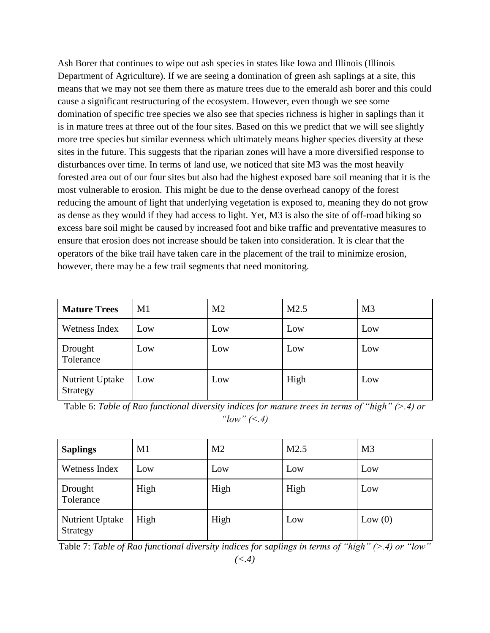Ash Borer that continues to wipe out ash species in states like Iowa and Illinois (Illinois Department of Agriculture). If we are seeing a domination of green ash saplings at a site, this means that we may not see them there as mature trees due to the emerald ash borer and this could cause a significant restructuring of the ecosystem. However, even though we see some domination of specific tree species we also see that species richness is higher in saplings than it is in mature trees at three out of the four sites. Based on this we predict that we will see slightly more tree species but similar evenness which ultimately means higher species diversity at these sites in the future. This suggests that the riparian zones will have a more diversified response to disturbances over time. In terms of land use, we noticed that site M3 was the most heavily forested area out of our four sites but also had the highest exposed bare soil meaning that it is the most vulnerable to erosion. This might be due to the dense overhead canopy of the forest reducing the amount of light that underlying vegetation is exposed to, meaning they do not grow as dense as they would if they had access to light. Yet, M3 is also the site of off-road biking so excess bare soil might be caused by increased foot and bike traffic and preventative measures to ensure that erosion does not increase should be taken into consideration. It is clear that the operators of the bike trail have taken care in the placement of the trail to minimize erosion, however, there may be a few trail segments that need monitoring.

| <b>Mature Trees</b>                | M1  | M <sub>2</sub> | M2.5 | M <sub>3</sub> |
|------------------------------------|-----|----------------|------|----------------|
| Wetness Index                      | Low | Low            | Low  | Low            |
| Drought<br>Tolerance               | Low | Low            | Low  | Low            |
| <b>Nutrient Uptake</b><br>Strategy | Low | Low            | High | Low            |

Table 6: *Table of Rao functional diversity indices for mature trees in terms of "high" (>.4) or "low" (<.4)*

| <b>Saplings</b>                    | M1   | M <sub>2</sub> | M2.5 | M <sub>3</sub> |
|------------------------------------|------|----------------|------|----------------|
| Wetness Index                      | Low  | Low            | Low  | Low            |
| Drought<br>Tolerance               | High | High           | High | Low            |
| <b>Nutrient Uptake</b><br>Strategy | High | High           | Low  | Low $(0)$      |

Table 7: *Table of Rao functional diversity indices for saplings in terms of "high" (>.4) or "low"*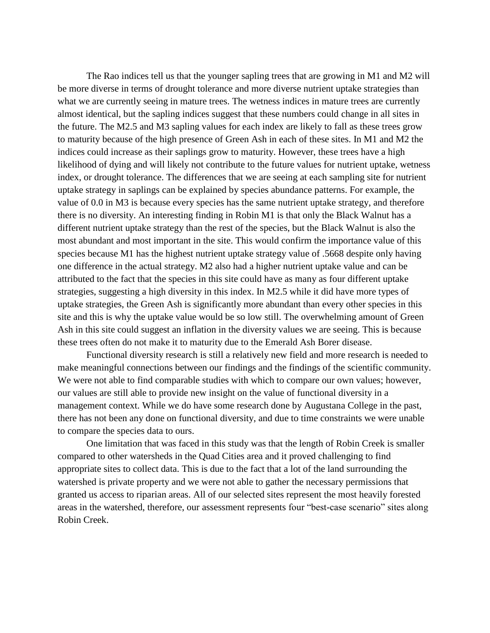The Rao indices tell us that the younger sapling trees that are growing in M1 and M2 will be more diverse in terms of drought tolerance and more diverse nutrient uptake strategies than what we are currently seeing in mature trees. The wetness indices in mature trees are currently almost identical, but the sapling indices suggest that these numbers could change in all sites in the future. The M2.5 and M3 sapling values for each index are likely to fall as these trees grow to maturity because of the high presence of Green Ash in each of these sites. In M1 and M2 the indices could increase as their saplings grow to maturity. However, these trees have a high likelihood of dying and will likely not contribute to the future values for nutrient uptake, wetness index, or drought tolerance. The differences that we are seeing at each sampling site for nutrient uptake strategy in saplings can be explained by species abundance patterns. For example, the value of 0.0 in M3 is because every species has the same nutrient uptake strategy, and therefore there is no diversity. An interesting finding in Robin M1 is that only the Black Walnut has a different nutrient uptake strategy than the rest of the species, but the Black Walnut is also the most abundant and most important in the site. This would confirm the importance value of this species because M1 has the highest nutrient uptake strategy value of .5668 despite only having one difference in the actual strategy. M2 also had a higher nutrient uptake value and can be attributed to the fact that the species in this site could have as many as four different uptake strategies, suggesting a high diversity in this index. In M2.5 while it did have more types of uptake strategies, the Green Ash is significantly more abundant than every other species in this site and this is why the uptake value would be so low still. The overwhelming amount of Green Ash in this site could suggest an inflation in the diversity values we are seeing. This is because these trees often do not make it to maturity due to the Emerald Ash Borer disease.

Functional diversity research is still a relatively new field and more research is needed to make meaningful connections between our findings and the findings of the scientific community. We were not able to find comparable studies with which to compare our own values; however, our values are still able to provide new insight on the value of functional diversity in a management context. While we do have some research done by Augustana College in the past, there has not been any done on functional diversity, and due to time constraints we were unable to compare the species data to ours.

One limitation that was faced in this study was that the length of Robin Creek is smaller compared to other watersheds in the Quad Cities area and it proved challenging to find appropriate sites to collect data. This is due to the fact that a lot of the land surrounding the watershed is private property and we were not able to gather the necessary permissions that granted us access to riparian areas. All of our selected sites represent the most heavily forested areas in the watershed, therefore, our assessment represents four "best-case scenario" sites along Robin Creek.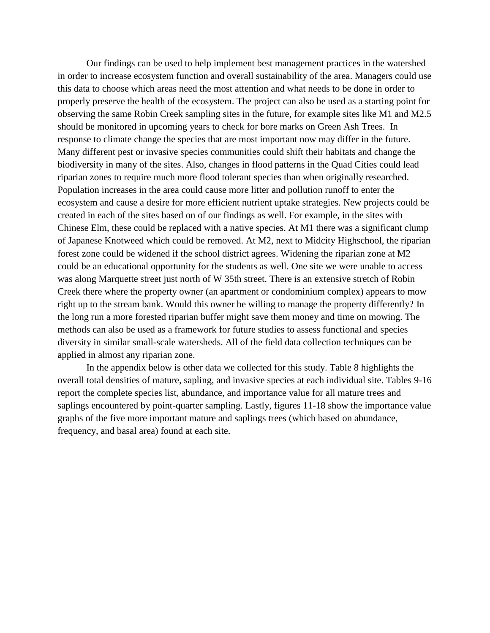Our findings can be used to help implement best management practices in the watershed in order to increase ecosystem function and overall sustainability of the area. Managers could use this data to choose which areas need the most attention and what needs to be done in order to properly preserve the health of the ecosystem. The project can also be used as a starting point for observing the same Robin Creek sampling sites in the future, for example sites like M1 and M2.5 should be monitored in upcoming years to check for bore marks on Green Ash Trees. In response to climate change the species that are most important now may differ in the future. Many different pest or invasive species communities could shift their habitats and change the biodiversity in many of the sites. Also, changes in flood patterns in the Quad Cities could lead riparian zones to require much more flood tolerant species than when originally researched. Population increases in the area could cause more litter and pollution runoff to enter the ecosystem and cause a desire for more efficient nutrient uptake strategies. New projects could be created in each of the sites based on of our findings as well. For example, in the sites with Chinese Elm, these could be replaced with a native species. At M1 there was a significant clump of Japanese Knotweed which could be removed. At M2, next to Midcity Highschool, the riparian forest zone could be widened if the school district agrees. Widening the riparian zone at M2 could be an educational opportunity for the students as well. One site we were unable to access was along Marquette street just north of W 35th street. There is an extensive stretch of Robin Creek there where the property owner (an apartment or condominium complex) appears to mow right up to the stream bank. Would this owner be willing to manage the property differently? In the long run a more forested riparian buffer might save them money and time on mowing. The methods can also be used as a framework for future studies to assess functional and species diversity in similar small-scale watersheds. All of the field data collection techniques can be applied in almost any riparian zone.

In the appendix below is other data we collected for this study. Table 8 highlights the overall total densities of mature, sapling, and invasive species at each individual site. Tables 9-16 report the complete species list, abundance, and importance value for all mature trees and saplings encountered by point-quarter sampling. Lastly, figures 11-18 show the importance value graphs of the five more important mature and saplings trees (which based on abundance, frequency, and basal area) found at each site.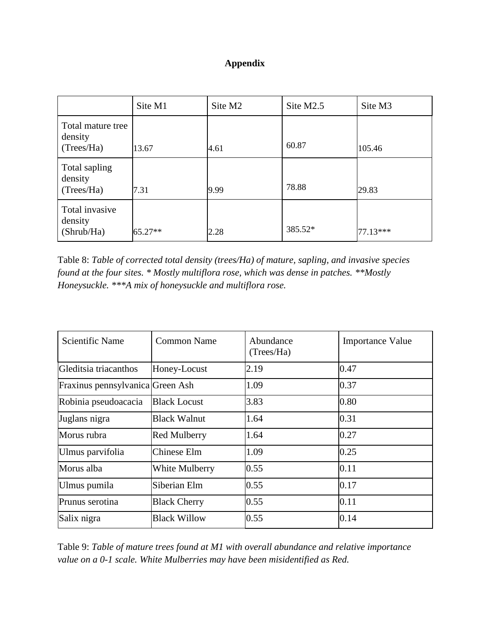# **Appendix**

|                                            | Site M1 | Site M <sub>2</sub> | Site M <sub>2.5</sub> | Site M3  |
|--------------------------------------------|---------|---------------------|-----------------------|----------|
| Total mature tree<br>density<br>(Trees/Ha) | 13.67   | 4.61                | 60.87                 | 105.46   |
| Total sapling<br>density<br>(Trees/Ha)     | 7.31    | 9.99                | 78.88                 | 29.83    |
| Total invasive<br>density<br>(Shrub/Ha)    | 65.27** | 2.28                | 385.52*               | 77.13*** |

Table 8: *Table of corrected total density (trees/Ha) of mature, sapling, and invasive species found at the four sites. \* Mostly multiflora rose, which was dense in patches. \*\*Mostly Honeysuckle. \*\*\*A mix of honeysuckle and multiflora rose.* 

| <b>Scientific Name</b>           | Common Name         | Abundance<br>(Trees/Ha) | <b>Importance Value</b> |
|----------------------------------|---------------------|-------------------------|-------------------------|
| Gleditsia triacanthos            | Honey-Locust        | 2.19                    | 0.47                    |
| Fraxinus pennsylvanica Green Ash |                     | 1.09                    | 0.37                    |
| Robinia pseudoacacia             | <b>Black Locust</b> | 3.83                    | 0.80                    |
| Juglans nigra                    | Black Walnut        | 1.64                    | 0.31                    |
| Morus rubra                      | <b>Red Mulberry</b> | 1.64                    | 0.27                    |
| Ulmus parvifolia                 | Chinese Elm         | 1.09                    | 0.25                    |
| Morus alba                       | White Mulberry      | 0.55                    | 0.11                    |
| Ulmus pumila                     | Siberian Elm        | 0.55                    | 0.17                    |
| Prunus serotina                  | <b>Black Cherry</b> | 0.55                    | 0.11                    |
| Salix nigra                      | <b>Black Willow</b> | 0.55                    | 0.14                    |

Table 9: *Table of mature trees found at M1 with overall abundance and relative importance value on a 0-1 scale. White Mulberries may have been misidentified as Red.*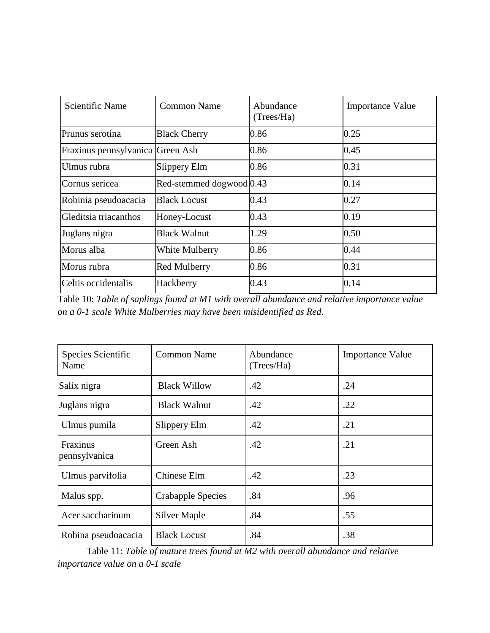| Scientific Name                  | Common Name                           | Abundance<br>(Trees/Ha) | <b>Importance Value</b> |
|----------------------------------|---------------------------------------|-------------------------|-------------------------|
| Prunus serotina                  | <b>Black Cherry</b>                   | 0.86                    | 0.25                    |
| Fraxinus pennsylvanica Green Ash |                                       | 0.86                    | 0.45                    |
| Ulmus rubra                      | Slippery Elm                          | 0.86                    | 0.31                    |
| Cornus sericea                   | Red-stemmed dogwood <sup>[0.43]</sup> |                         | 0.14                    |
| Robinia pseudoacacia             | Black Locust                          | 0.43                    | 0.27                    |
| Gleditsia triacanthos            | Honey-Locust                          | 0.43                    | 0.19                    |
| Juglans nigra                    | <b>Black Walnut</b>                   | 1.29                    | 0.50                    |
| Morus alba                       | White Mulberry                        | 0.86                    | 0.44                    |
| Morus rubra                      | <b>Red Mulberry</b>                   | 0.86                    | 0.31                    |
| Celtis occidentalis              | Hackberry                             | 0.43                    | 0.14                    |

Table 10: *Table of saplings found at M1 with overall abundance and relative importance value on a 0-1 scale White Mulberries may have been misidentified as Red.* 

| Species Scientific<br>Name | <b>Common Name</b>  | Abundance<br>(Trees/Ha) | <b>Importance Value</b> |
|----------------------------|---------------------|-------------------------|-------------------------|
| Salix nigra                | <b>Black Willow</b> | .42                     | .24                     |
| Juglans nigra              | <b>Black Walnut</b> | .42                     | .22                     |
| Ulmus pumila               | Slippery Elm        | .42                     | .21                     |
| Fraxinus<br>pennsylvanica  | Green Ash           | .42                     | .21                     |
| Ulmus parvifolia           | Chinese Elm         | .42                     | .23                     |
| Malus spp.                 | Crabapple Species   | .84                     | .96                     |
| Acer saccharinum           | <b>Silver Maple</b> | .84                     | .55                     |
| Robina pseudoacacia        | <b>Black Locust</b> | .84                     | .38                     |

Table 11: *Table of mature trees found at M2 with overall abundance and relative importance value on a 0-1 scale*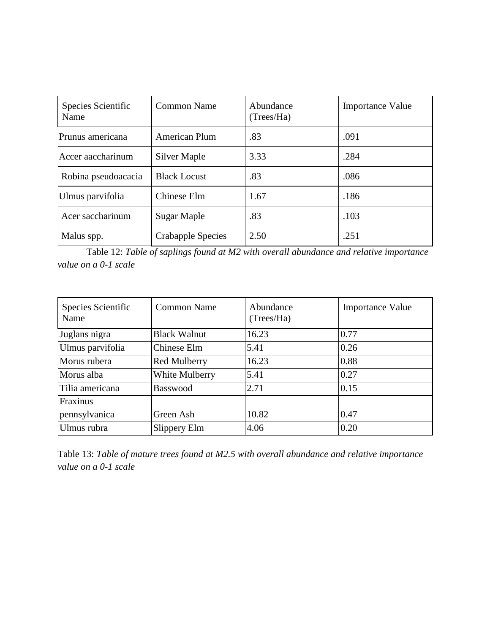| Species Scientific<br>Name | <b>Common Name</b>       | Abundance<br>(Trees/Ha) | <b>Importance Value</b> |
|----------------------------|--------------------------|-------------------------|-------------------------|
| Prunus americana           | <b>American Plum</b>     | .83                     | .091                    |
| Accer aaccharinum          | Silver Maple             | 3.33                    | .284                    |
| Robina pseudoacacia        | <b>Black Locust</b>      | .83                     | .086                    |
| Ulmus parvifolia           | Chinese Elm              | 1.67                    | .186                    |
| Acer saccharinum           | Sugar Maple              | .83                     | .103                    |
| Malus spp.                 | <b>Crabapple Species</b> | 2.50                    | .251                    |

Table 12: *Table of saplings found at M2 with overall abundance and relative importance value on a 0-1 scale*

| Species Scientific<br>Name | <b>Common Name</b>  | Abundance<br>(Trees/Ha) | <b>Importance Value</b> |
|----------------------------|---------------------|-------------------------|-------------------------|
| Juglans nigra              | <b>Black Walnut</b> | 16.23                   | 0.77                    |
| Ulmus parvifolia           | Chinese Elm         | 5.41                    | 0.26                    |
| Morus rubera               | <b>Red Mulberry</b> | 16.23                   | 0.88                    |
| Morus alba                 | White Mulberry      | 5.41                    | 0.27                    |
| Tilia americana            | Basswood            | 2.71                    | 0.15                    |
| Fraxinus                   |                     |                         |                         |
| pennsylvanica              | Green Ash           | 10.82                   | 0.47                    |
| Ulmus rubra                | Slippery Elm        | 4.06                    | 0.20                    |

Table 13: *Table of mature trees found at M2.5 with overall abundance and relative importance value on a 0-1 scale*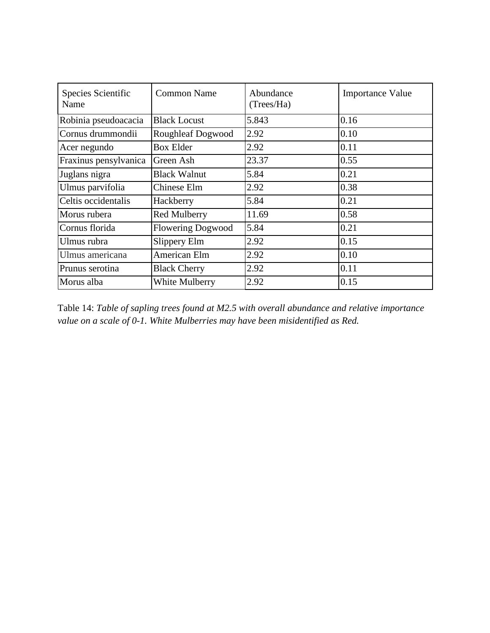| Species Scientific<br>Name | <b>Common Name</b>       | Abundance<br>(Trees/Ha) | <b>Importance Value</b> |
|----------------------------|--------------------------|-------------------------|-------------------------|
| Robinia pseudoacacia       | <b>Black Locust</b>      | 5.843                   | 0.16                    |
| Cornus drummondii          | <b>Roughleaf Dogwood</b> | 2.92                    | 0.10                    |
| Acer negundo               | <b>Box Elder</b>         | 2.92                    | 0.11                    |
| Fraxinus pensylvanica      | Green Ash                | 23.37                   | 0.55                    |
| Juglans nigra              | <b>Black Walnut</b>      | 5.84                    | 0.21                    |
| Ulmus parvifolia           | Chinese Elm              | 2.92                    | 0.38                    |
| Celtis occidentalis        | Hackberry                | 5.84                    | 0.21                    |
| Morus rubera               | <b>Red Mulberry</b>      | 11.69                   | 0.58                    |
| Cornus florida             | <b>Flowering Dogwood</b> | 5.84                    | 0.21                    |
| Ulmus rubra                | Slippery Elm             | 2.92                    | 0.15                    |
| Ulmus americana            | American Elm             | 2.92                    | 0.10                    |
| Prunus serotina            | <b>Black Cherry</b>      | 2.92                    | 0.11                    |
| Morus alba                 | <b>White Mulberry</b>    | 2.92                    | 0.15                    |

Table 14: *Table of sapling trees found at M2.5 with overall abundance and relative importance value on a scale of 0-1. White Mulberries may have been misidentified as Red.*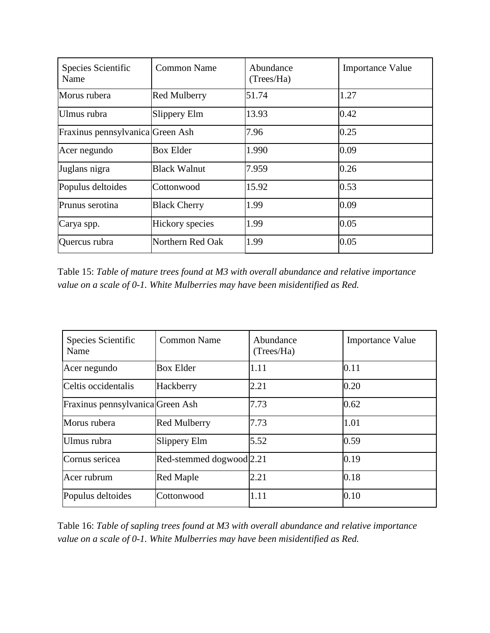| Species Scientific<br>Name       | <b>Common Name</b>  | Abundance<br>(Trees/Ha) | <b>Importance Value</b> |
|----------------------------------|---------------------|-------------------------|-------------------------|
| Morus rubera                     | <b>Red Mulberry</b> | 51.74                   | 1.27                    |
| Ulmus rubra                      | Slippery Elm        | 13.93                   | 0.42                    |
| Fraxinus pennsylvanica Green Ash |                     | 7.96                    | 0.25                    |
| Acer negundo                     | <b>Box Elder</b>    | 1.990                   | 0.09                    |
| Juglans nigra                    | <b>Black Walnut</b> | 7.959                   | 0.26                    |
| Populus deltoides                | Cottonwood          | 15.92                   | 0.53                    |
| Prunus serotina                  | <b>Black Cherry</b> | 1.99                    | 0.09                    |
| Carya spp.                       | Hickory species     | 1.99                    | 0.05                    |
| Quercus rubra                    | Northern Red Oak    | 1.99                    | 0.05                    |

Table 15: *Table of mature trees found at M3 with overall abundance and relative importance value on a scale of 0-1. White Mulberries may have been misidentified as Red.* 

| Species Scientific<br>Name       | Common Name                           | Abundance<br>(Trees/Ha) | <b>Importance Value</b> |
|----------------------------------|---------------------------------------|-------------------------|-------------------------|
| Acer negundo                     | <b>Box Elder</b>                      | 1.11                    | 0.11                    |
| Celtis occidentalis              | Hackberry                             | 2.21                    | 0.20                    |
| Fraxinus pennsylvanica Green Ash |                                       | 7.73                    | 0.62                    |
| Morus rubera                     | <b>Red Mulberry</b>                   | 7.73                    | 1.01                    |
| Ulmus rubra                      | Slippery Elm                          | 5.52                    | 0.59                    |
| Cornus sericea                   | Red-stemmed dogwood <sup>[2.21]</sup> |                         | 0.19                    |
| Acer rubrum                      | <b>Red Maple</b>                      | 2.21                    | 0.18                    |
| Populus deltoides                | Cottonwood                            | 1.11                    | 0.10                    |

Table 16: *Table of sapling trees found at M3 with overall abundance and relative importance value on a scale of 0-1. White Mulberries may have been misidentified as Red.*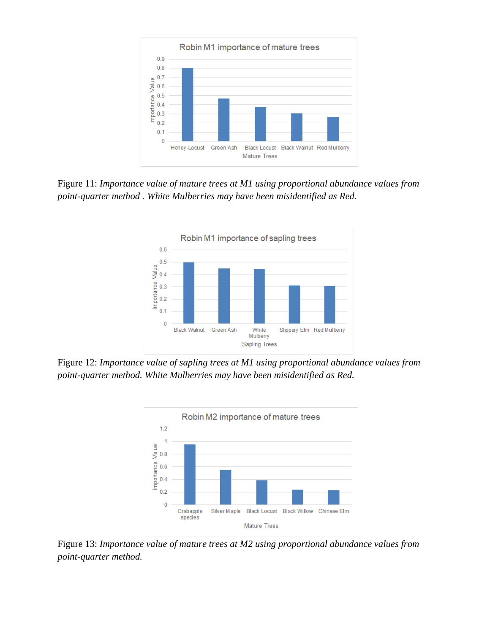

Figure 11: *Importance value of mature trees at M1 using proportional abundance values from point-quarter method . White Mulberries may have been misidentified as Red.* 



Figure 12: *Importance value of sapling trees at M1 using proportional abundance values from point-quarter method. White Mulberries may have been misidentified as Red.* 



Figure 13: *Importance value of mature trees at M2 using proportional abundance values from point-quarter method.*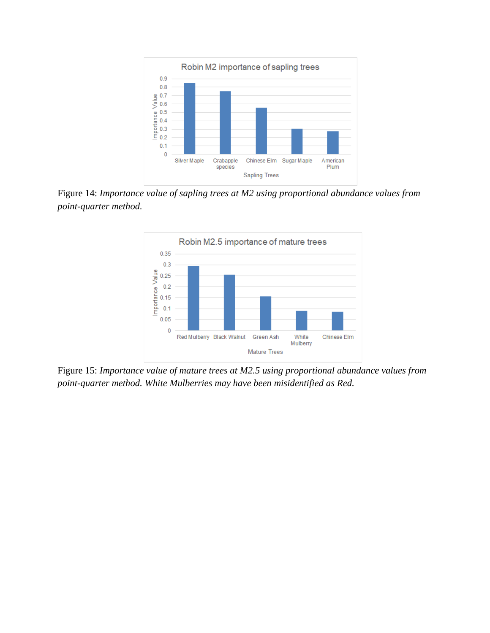

Figure 14: *Importance value of sapling trees at M2 using proportional abundance values from point-quarter method.*



Figure 15: *Importance value of mature trees at M2.5 using proportional abundance values from point-quarter method. White Mulberries may have been misidentified as Red.*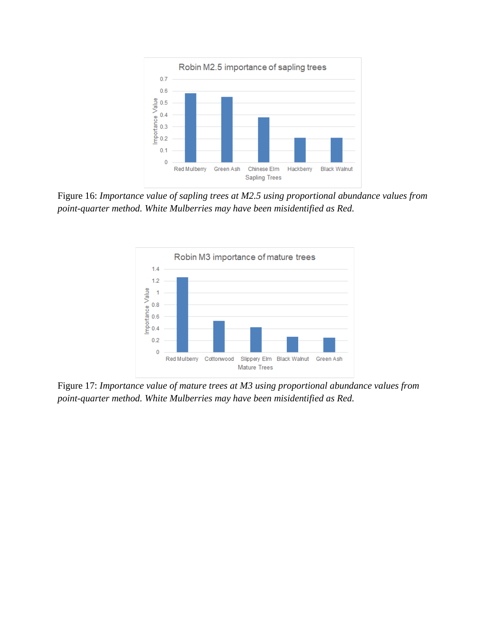

Figure 16: *Importance value of sapling trees at M2.5 using proportional abundance values from point-quarter method. White Mulberries may have been misidentified as Red.* 



Figure 17: *Importance value of mature trees at M3 using proportional abundance values from point-quarter method. White Mulberries may have been misidentified as Red.*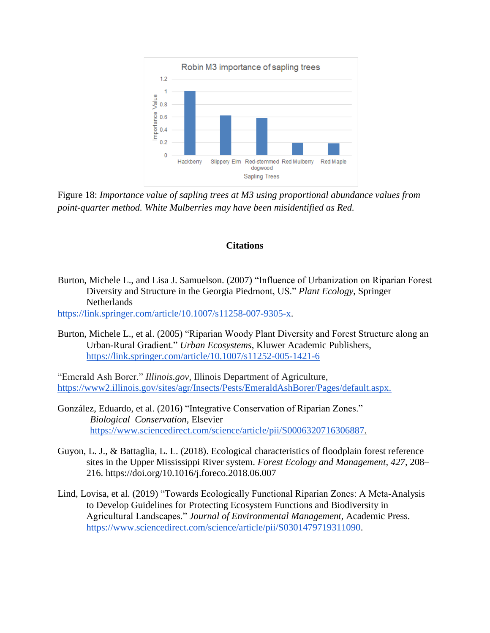

Figure 18: *Importance value of sapling trees at M3 using proportional abundance values from point-quarter method. White Mulberries may have been misidentified as Red.* 

## **Citations**

Burton, Michele L., and Lisa J. Samuelson. (2007) "Influence of Urbanization on Riparian Forest Diversity and Structure in the Georgia Piedmont, US." *Plant Ecology*, Springer Netherlands

https://link.springer.com/article/10.1007/s11258-007-9305-x.

Burton, Michele L., et al. (2005) "Riparian Woody Plant Diversity and Forest Structure along an Urban-Rural Gradient." *Urban Ecosystems*, Kluwer Academic Publishers, https://link.springer.com/article/10.1007/s11252-005-1421-6

"Emerald Ash Borer." *Illinois.gov*, Illinois Department of Agriculture, https://www2.illinois.gov/sites/agr/Insects/Pests/EmeraldAshBorer/Pages/default.aspx.

- González, Eduardo, et al. (2016) "Integrative Conservation of Riparian Zones." *Biological Conservation*, Elsevier [https://www.sciencedirect.com/science/article/pii/S0006320716306887.](https://www.sciencedirect.com/science/article/pii/S0006320716306887)
- Guyon, L. J., & Battaglia, L. L. (2018). Ecological characteristics of floodplain forest reference sites in the Upper Mississippi River system. *Forest Ecology and Management*, *427*, 208– 216. https://doi.org/10.1016/j.foreco.2018.06.007
- Lind, Lovisa, et al. (2019) "Towards Ecologically Functional Riparian Zones: A Meta-Analysis to Develop Guidelines for Protecting Ecosystem Functions and Biodiversity in Agricultural Landscapes." *Journal of Environmental Management*, Academic Press. https://www.sciencedirect.com/science/article/pii/S0301479719311090.